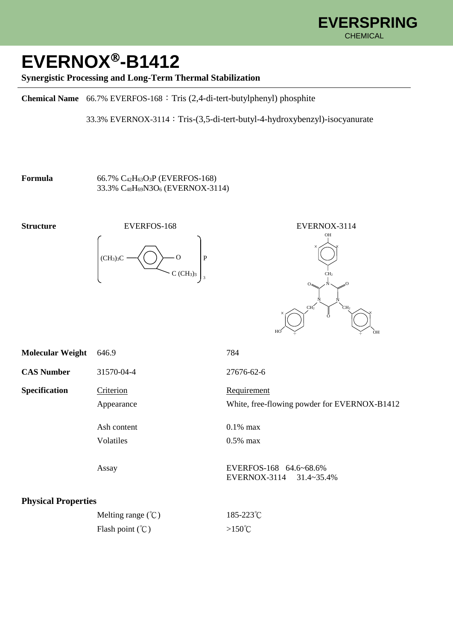

## **EVERNOX-B1412**

## **Synergistic Processing and Long-Term Thermal Stabilization**

**Chemical Name** 66.7% EVERFOS-168:Tris (2,4-di-tert-butylphenyl) phosphite

33.3% EVERNOX-3114:Tris-(3,5-di-tert-butyl-4-hydroxybenzyl)-isocyanurate

**Formula** 66.7% C<sub>42</sub>H<sub>63</sub>O<sub>3</sub>P (EVERFOS-168) 33.3% C48H69N3O<sup>6</sup> (EVERNOX-3114)





| <b>Molecular Weight</b>    | 646.9                                   | 784                                                            |
|----------------------------|-----------------------------------------|----------------------------------------------------------------|
| <b>CAS Number</b>          | 31570-04-4                              | 27676-62-6                                                     |
| Specification              | Criterion<br>Appearance                 | Requirement<br>White, free-flowing powder for EVERNOX-B1412    |
|                            | Ash content<br>Volatiles                | $0.1\%$ max<br>$0.5\%$ max                                     |
|                            | Assay                                   | EVERFOS-168 64.6~68.6%<br>EVERNOX-3114<br>$31.4 \times 35.4\%$ |
| <b>Physical Properties</b> |                                         |                                                                |
|                            | Melting range $({}^{\circ}\mathcal{C})$ | 185-223°C                                                      |
|                            | Flash point $({}^{\circ}\mathcal{C})$   | $>150^{\circ}$ C                                               |